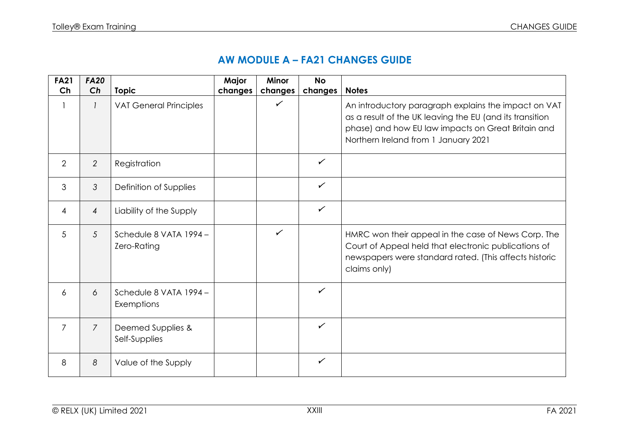## **AW MODULE A – FA21 CHANGES GUIDE**

| <b>FA21</b>    | <b>FA20</b>    |                                       | Major   | <b>Minor</b> | <b>No</b>    |                                                                                                                                                                                                                |
|----------------|----------------|---------------------------------------|---------|--------------|--------------|----------------------------------------------------------------------------------------------------------------------------------------------------------------------------------------------------------------|
| Ch             | Ch             | <b>Topic</b>                          | changes | changes      | changes      | <b>Notes</b>                                                                                                                                                                                                   |
|                |                | <b>VAT General Principles</b>         |         | $\checkmark$ |              | An introductory paragraph explains the impact on VAT<br>as a result of the UK leaving the EU (and its transition<br>phase) and how EU law impacts on Great Britain and<br>Northern Ireland from 1 January 2021 |
| $\overline{2}$ | $\overline{2}$ | Registration                          |         |              | $\checkmark$ |                                                                                                                                                                                                                |
| 3              | 3              | Definition of Supplies                |         |              | $\checkmark$ |                                                                                                                                                                                                                |
| 4              | $\overline{4}$ | Liability of the Supply               |         |              | $\checkmark$ |                                                                                                                                                                                                                |
| 5              | 5              | Schedule 8 VATA 1994 -<br>Zero-Rating |         | $\checkmark$ |              | HMRC won their appeal in the case of News Corp. The<br>Court of Appeal held that electronic publications of<br>newspapers were standard rated. (This affects historic<br>claims only)                          |
| 6              | 6              | Schedule 8 VATA 1994 -<br>Exemptions  |         |              | $\checkmark$ |                                                                                                                                                                                                                |
| $\overline{7}$ | $\overline{7}$ | Deemed Supplies &<br>Self-Supplies    |         |              | $\checkmark$ |                                                                                                                                                                                                                |
| 8              | 8              | Value of the Supply                   |         |              | $\checkmark$ |                                                                                                                                                                                                                |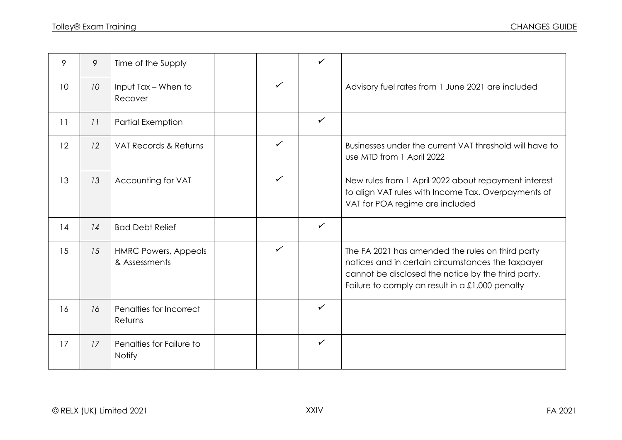| 9               | 9               | Time of the Supply                           |              | $\checkmark$ |                                                                                                                                                                                                                  |
|-----------------|-----------------|----------------------------------------------|--------------|--------------|------------------------------------------------------------------------------------------------------------------------------------------------------------------------------------------------------------------|
| 10 <sup>°</sup> | 10 <sup>°</sup> | Input Tax - When to<br>Recover               | $\checkmark$ |              | Advisory fuel rates from 1 June 2021 are included                                                                                                                                                                |
| 11              | 11              | <b>Partial Exemption</b>                     |              | $\checkmark$ |                                                                                                                                                                                                                  |
| 12              | 12              | VAT Records & Returns                        | $\checkmark$ |              | Businesses under the current VAT threshold will have to<br>use MTD from 1 April 2022                                                                                                                             |
| 13              | 13              | Accounting for VAT                           | $\checkmark$ |              | New rules from 1 April 2022 about repayment interest<br>to align VAT rules with Income Tax. Overpayments of<br>VAT for POA regime are included                                                                   |
| 14              | 14              | <b>Bad Debt Relief</b>                       |              | $\checkmark$ |                                                                                                                                                                                                                  |
| 15              | 15              | <b>HMRC Powers, Appeals</b><br>& Assessments | $\checkmark$ |              | The FA 2021 has amended the rules on third party<br>notices and in certain circumstances the taxpayer<br>cannot be disclosed the notice by the third party.<br>Failure to comply an result in a $£1,000$ penalty |
| 16              | 16              | Penalties for Incorrect<br>Returns           |              | $\checkmark$ |                                                                                                                                                                                                                  |
| 17              | 17              | Penalties for Failure to<br><b>Notify</b>    |              | $\checkmark$ |                                                                                                                                                                                                                  |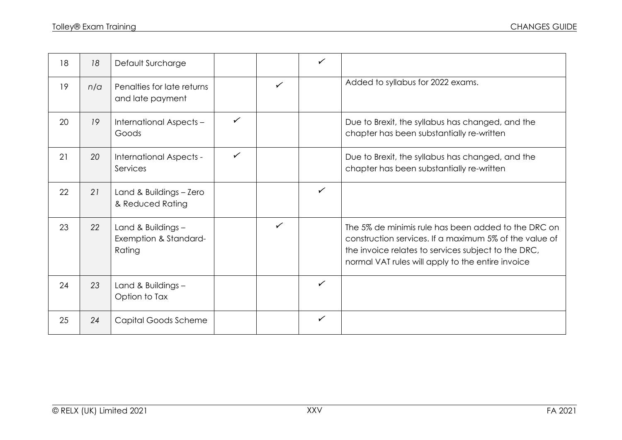| 18 | 18  | Default Surcharge                                     |              |              | $\checkmark$ |                                                                                                                                                                                                                           |
|----|-----|-------------------------------------------------------|--------------|--------------|--------------|---------------------------------------------------------------------------------------------------------------------------------------------------------------------------------------------------------------------------|
| 19 | n/a | Penalties for late returns<br>and late payment        |              | $\checkmark$ |              | Added to syllabus for 2022 exams.                                                                                                                                                                                         |
| 20 | 19  | International Aspects -<br>Goods                      | $\checkmark$ |              |              | Due to Brexit, the syllabus has changed, and the<br>chapter has been substantially re-written                                                                                                                             |
| 21 | 20  | International Aspects -<br>Services                   | $\checkmark$ |              |              | Due to Brexit, the syllabus has changed, and the<br>chapter has been substantially re-written                                                                                                                             |
| 22 | 21  | Land & Buildings - Zero<br>& Reduced Rating           |              |              | $\checkmark$ |                                                                                                                                                                                                                           |
| 23 | 22  | Land & Buildings -<br>Exemption & Standard-<br>Rating |              | $\checkmark$ |              | The 5% de minimis rule has been added to the DRC on<br>construction services. If a maximum 5% of the value of<br>the invoice relates to services subject to the DRC,<br>normal VAT rules will apply to the entire invoice |
| 24 | 23  | Land & Buildings -<br>Option to Tax                   |              |              | $\checkmark$ |                                                                                                                                                                                                                           |
| 25 | 24  | Capital Goods Scheme                                  |              |              | $\checkmark$ |                                                                                                                                                                                                                           |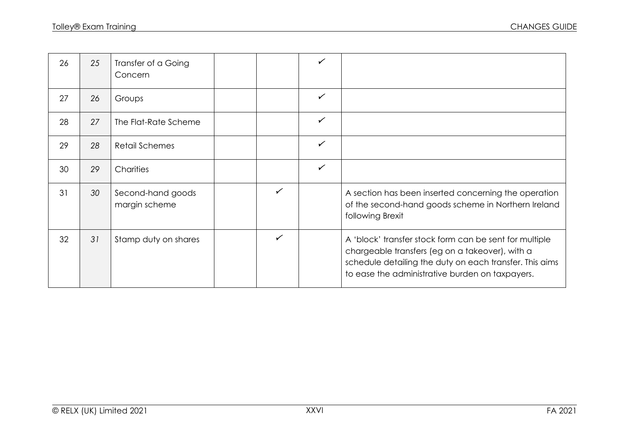| 26 | 25 | Transfer of a Going<br>Concern     |              | ✓            |                                                                                                                                                                                                                         |
|----|----|------------------------------------|--------------|--------------|-------------------------------------------------------------------------------------------------------------------------------------------------------------------------------------------------------------------------|
| 27 | 26 | Groups                             |              | $\checkmark$ |                                                                                                                                                                                                                         |
| 28 | 27 | The Flat-Rate Scheme               |              | $\checkmark$ |                                                                                                                                                                                                                         |
| 29 | 28 | <b>Retail Schemes</b>              |              | $\checkmark$ |                                                                                                                                                                                                                         |
| 30 | 29 | Charities                          |              | $\checkmark$ |                                                                                                                                                                                                                         |
| 31 | 30 | Second-hand goods<br>margin scheme | $\checkmark$ |              | A section has been inserted concerning the operation<br>of the second-hand goods scheme in Northern Ireland<br>following Brexit                                                                                         |
| 32 | 31 | Stamp duty on shares               | ✓            |              | A 'block' transfer stock form can be sent for multiple<br>chargeable transfers (eg on a takeover), with a<br>schedule detailing the duty on each transfer. This aims<br>to ease the administrative burden on taxpayers. |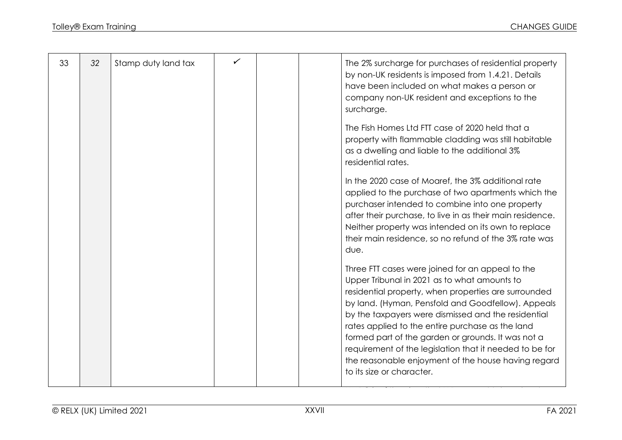| 33 | 32 | Stamp duty land tax |  | The 2% surcharge for purchases of residential property<br>by non-UK residents is imposed from 1.4.21. Details<br>have been included on what makes a person or<br>company non-UK resident and exceptions to the<br>surcharge.                                                                                                                                                                                                                                                                                                   |
|----|----|---------------------|--|--------------------------------------------------------------------------------------------------------------------------------------------------------------------------------------------------------------------------------------------------------------------------------------------------------------------------------------------------------------------------------------------------------------------------------------------------------------------------------------------------------------------------------|
|    |    |                     |  | The Fish Homes Ltd FTT case of 2020 held that a<br>property with flammable cladding was still habitable<br>as a dwelling and liable to the additional 3%<br>residential rates.                                                                                                                                                                                                                                                                                                                                                 |
|    |    |                     |  | In the 2020 case of Moaref, the 3% additional rate<br>applied to the purchase of two apartments which the<br>purchaser intended to combine into one property<br>after their purchase, to live in as their main residence.<br>Neither property was intended on its own to replace<br>their main residence, so no refund of the 3% rate was<br>due.                                                                                                                                                                              |
|    |    |                     |  | Three FTT cases were joined for an appeal to the<br>Upper Tribunal in 2021 as to what amounts to<br>residential property, when properties are surrounded<br>by land. (Hyman, Pensfold and Goodfellow). Appeals<br>by the taxpayers were dismissed and the residential<br>rates applied to the entire purchase as the land<br>formed part of the garden or grounds. It was not a<br>requirement of the legislation that it needed to be for<br>the reasonable enjoyment of the house having regard<br>to its size or character. |
|    |    |                     |  |                                                                                                                                                                                                                                                                                                                                                                                                                                                                                                                                |